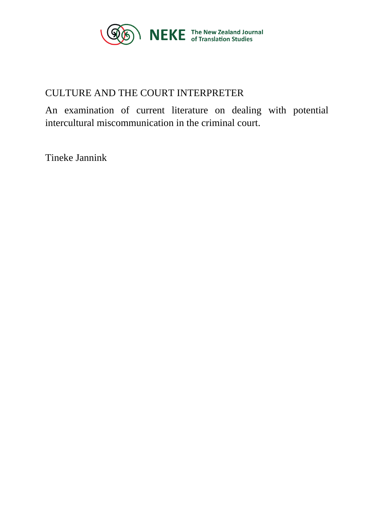

# CULTURE AND THE COURT INTERPRETER

An examination of current literature on dealing with potential intercultural miscommunication in the criminal court.

Tineke Jannink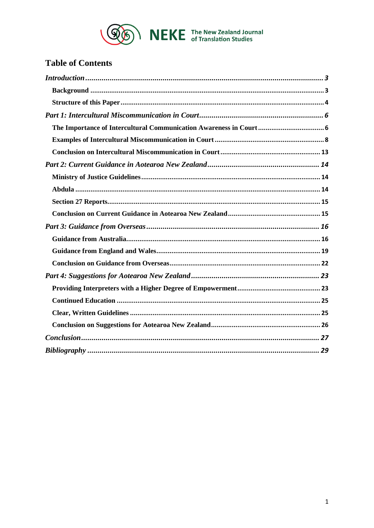

# **Table of Contents**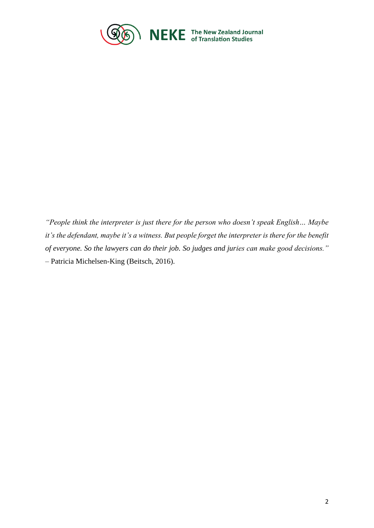

NEKE The New Zealand Journal

*"People think the interpreter is just there for the person who doesn't speak English… Maybe it's the defendant, maybe it's a witness. But people forget the interpreter is there for the benefit of everyone. So the lawyers can do their job. So judges and juries can make good decisions."*  – Patricia Michelsen-King (Beitsch, 2016).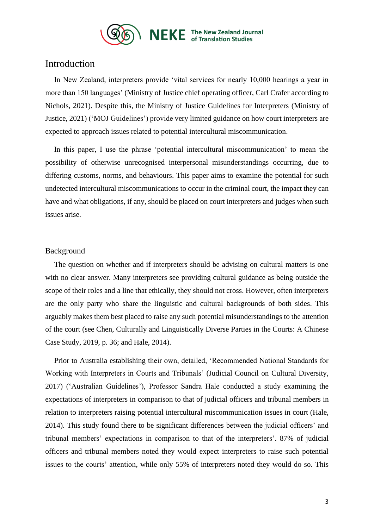

# <span id="page-3-0"></span>Introduction

In New Zealand, interpreters provide 'vital services for nearly 10,000 hearings a year in more than 150 languages' (Ministry of Justice chief operating officer, Carl Crafer according to Nichols, 2021). Despite this, the Ministry of Justice Guidelines for Interpreters (Ministry of Justice, 2021) ('MOJ Guidelines') provide very limited guidance on how court interpreters are expected to approach issues related to potential intercultural miscommunication.

In this paper, I use the phrase 'potential intercultural miscommunication' to mean the possibility of otherwise unrecognised interpersonal misunderstandings occurring, due to differing customs, norms, and behaviours. This paper aims to examine the potential for such undetected intercultural miscommunications to occur in the criminal court, the impact they can have and what obligations, if any, should be placed on court interpreters and judges when such issues arise.

### <span id="page-3-1"></span>Background

The question on whether and if interpreters should be advising on cultural matters is one with no clear answer. Many interpreters see providing cultural guidance as being outside the scope of their roles and a line that ethically, they should not cross. However, often interpreters are the only party who share the linguistic and cultural backgrounds of both sides. This arguably makes them best placed to raise any such potential misunderstandings to the attention of the court (see Chen, Culturally and Linguistically Diverse Parties in the Courts: A Chinese Case Study, 2019, p. 36; and Hale, 2014).

Prior to Australia establishing their own, detailed, 'Recommended National Standards for Working with Interpreters in Courts and Tribunals' (Judicial Council on Cultural Diversity, 2017) ('Australian Guidelines'), Professor Sandra Hale conducted a study examining the expectations of interpreters in comparison to that of judicial officers and tribunal members in relation to interpreters raising potential intercultural miscommunication issues in court (Hale, 2014). This study found there to be significant differences between the judicial officers' and tribunal members' expectations in comparison to that of the interpreters'. 87% of judicial officers and tribunal members noted they would expect interpreters to raise such potential issues to the courts' attention, while only 55% of interpreters noted they would do so. This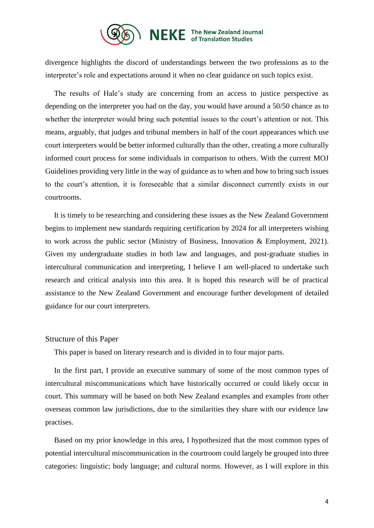

divergence highlights the discord of understandings between the two professions as to the interpreter's role and expectations around it when no clear guidance on such topics exist.

The results of Hale's study are concerning from an access to justice perspective as depending on the interpreter you had on the day, you would have around a 50/50 chance as to whether the interpreter would bring such potential issues to the court's attention or not. This means, arguably, that judges and tribunal members in half of the court appearances which use court interpreters would be better informed culturally than the other, creating a more culturally informed court process for some individuals in comparison to others. With the current MOJ Guidelines providing very little in the way of guidance as to when and how to bring such issues to the court's attention, it is foreseeable that a similar disconnect currently exists in our courtrooms.

It is timely to be researching and considering these issues as the New Zealand Government begins to implement new standards requiring certification by 2024 for all interpreters wishing to work across the public sector (Ministry of Business, Innovation & Employment, 2021). Given my undergraduate studies in both law and languages, and post-graduate studies in intercultural communication and interpreting, I believe I am well-placed to undertake such research and critical analysis into this area. It is hoped this research will be of practical assistance to the New Zealand Government and encourage further development of detailed guidance for our court interpreters.

#### <span id="page-4-0"></span>Structure of this Paper

This paper is based on literary research and is divided in to four major parts.

In the first part, I provide an executive summary of some of the most common types of intercultural miscommunications which have historically occurred or could likely occur in court. This summary will be based on both New Zealand examples and examples from other overseas common law jurisdictions, due to the similarities they share with our evidence law practises.

Based on my prior knowledge in this area, I hypothesized that the most common types of potential intercultural miscommunication in the courtroom could largely be grouped into three categories: linguistic; body language; and cultural norms. However, as I will explore in this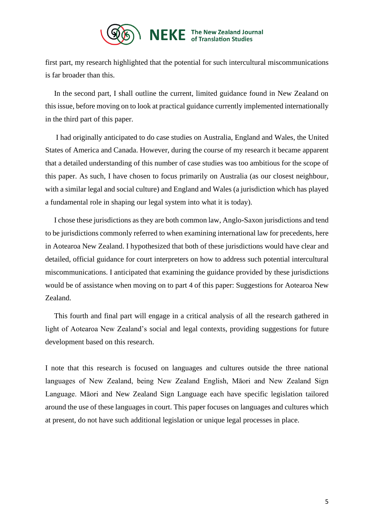

first part, my research highlighted that the potential for such intercultural miscommunications is far broader than this.

In the second part, I shall outline the current, limited guidance found in New Zealand on this issue, before moving on to look at practical guidance currently implemented internationally in the third part of this paper.

I had originally anticipated to do case studies on Australia, England and Wales, the United States of America and Canada. However, during the course of my research it became apparent that a detailed understanding of this number of case studies was too ambitious for the scope of this paper. As such, I have chosen to focus primarily on Australia (as our closest neighbour, with a similar legal and social culture) and England and Wales (a jurisdiction which has played a fundamental role in shaping our legal system into what it is today).

I chose these jurisdictions as they are both common law, Anglo-Saxon jurisdictions and tend to be jurisdictions commonly referred to when examining international law for precedents, here in Aotearoa New Zealand. I hypothesized that both of these jurisdictions would have clear and detailed, official guidance for court interpreters on how to address such potential intercultural miscommunications. I anticipated that examining the guidance provided by these jurisdictions would be of assistance when moving on to part 4 of this paper: Suggestions for Aotearoa New Zealand.

This fourth and final part will engage in a critical analysis of all the research gathered in light of Aotearoa New Zealand's social and legal contexts, providing suggestions for future development based on this research.

I note that this research is focused on languages and cultures outside the three national languages of New Zealand, being New Zealand English, Māori and New Zealand Sign Language. Māori and New Zealand Sign Language each have specific legislation tailored around the use of these languages in court. This paper focuses on languages and cultures which at present, do not have such additional legislation or unique legal processes in place.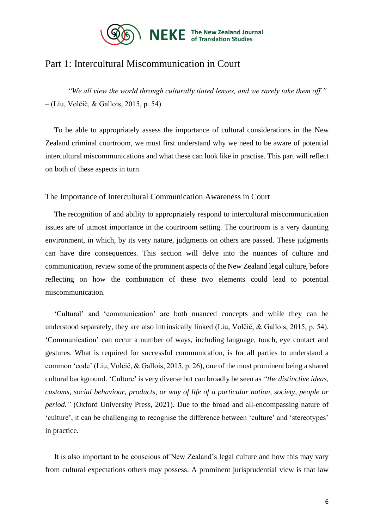

# <span id="page-6-0"></span>Part 1: Intercultural Miscommunication in Court

*"We all view the world through culturally tinted lenses, and we rarely take them off."*  – (Liu, Volčič, & Gallois, 2015, p. 54)

To be able to appropriately assess the importance of cultural considerations in the New Zealand criminal courtroom, we must first understand why we need to be aware of potential intercultural miscommunications and what these can look like in practise. This part will reflect on both of these aspects in turn.

#### <span id="page-6-1"></span>The Importance of Intercultural Communication Awareness in Court

The recognition of and ability to appropriately respond to intercultural miscommunication issues are of utmost importance in the courtroom setting. The courtroom is a very daunting environment, in which, by its very nature, judgments on others are passed. These judgments can have dire consequences. This section will delve into the nuances of culture and communication, review some of the prominent aspects of the New Zealand legal culture, before reflecting on how the combination of these two elements could lead to potential miscommunication.

'Cultural' and 'communication' are both nuanced concepts and while they can be understood separately, they are also intrinsically linked (Liu, Volčič, & Gallois, 2015, p. 54). 'Communication' can occur a number of ways, including language, touch, eye contact and gestures. What is required for successful communication, is for all parties to understand a common 'code' (Liu, Volčič, & Gallois, 2015, p. 26), one of the most prominent being a shared cultural background. 'Culture' is very diverse but can broadly be seen as *"the distinctive ideas, customs, social behaviour, products, or way of life of a particular nation, society, people or period."* (Oxford University Press, 2021). Due to the broad and all-encompassing nature of 'culture', it can be challenging to recognise the difference between 'culture' and 'stereotypes' in practice.

It is also important to be conscious of New Zealand's legal culture and how this may vary from cultural expectations others may possess. A prominent jurisprudential view is that law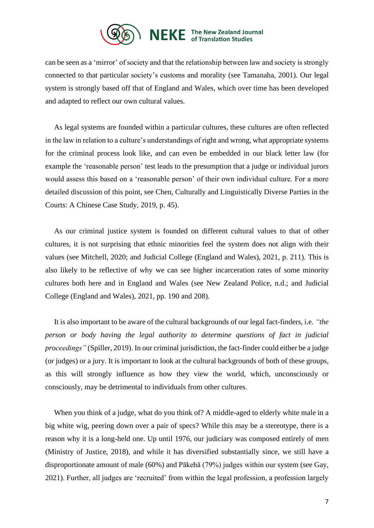

can be seen as a 'mirror' of society and that the relationship between law and society is strongly connected to that particular society's customs and morality (see Tamanaha, 2001). Our legal system is strongly based off that of England and Wales, which over time has been developed and adapted to reflect our own cultural values.

As legal systems are founded within a particular cultures, these cultures are often reflected in the law in relation to a culture's understandings of right and wrong, what appropriate systems for the criminal process look like, and can even be embedded in our black letter law (for example the 'reasonable person' test leads to the presumption that a judge or individual jurors would assess this based on a 'reasonable person' of their own individual culture. For a more detailed discussion of this point, see Chen, Culturally and Linguistically Diverse Parties in the Courts: A Chinese Case Study, 2019, p. 45).

As our criminal justice system is founded on different cultural values to that of other cultures, it is not surprising that ethnic minorities feel the system does not align with their values (see Mitchell, 2020; and Judicial College (England and Wales), 2021, p. 211). This is also likely to be reflective of why we can see higher incarceration rates of some minority cultures both here and in England and Wales (see New Zealand Police, n.d.; and Judicial College (England and Wales), 2021, pp. 190 and 208).

It is also important to be aware of the cultural backgrounds of our legal fact-finders, i.e. *"the person or body having the legal authority to determine questions of fact in judicial proceedings"* (Spiller, 2019). In our criminal jurisdiction, the fact-finder could either be a judge (or judges) or a jury. It is important to look at the cultural backgrounds of both of these groups, as this will strongly influence as how they view the world, which, unconsciously or consciously, may be detrimental to individuals from other cultures.

When you think of a judge, what do you think of? A middle-aged to elderly white male in a big white wig, peering down over a pair of specs? While this may be a stereotype, there is a reason why it is a long-held one. Up until 1976, our judiciary was composed entirely of men (Ministry of Justice, 2018), and while it has diversified substantially since, we still have a disproportionate amount of male (60%) and Pākehā (79%) judges within our system (see Gay, 2021). Further, all judges are 'recruited' from within the legal profession, a profession largely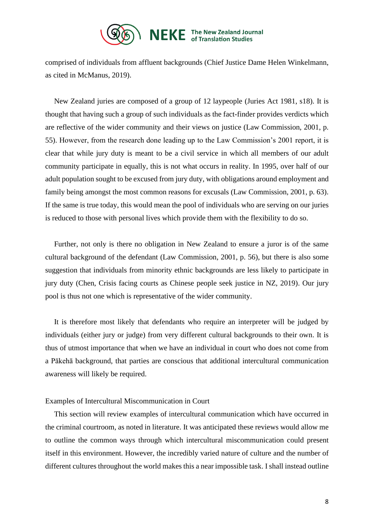

comprised of individuals from affluent backgrounds (Chief Justice Dame Helen Winkelmann, as cited in McManus, 2019).

New Zealand juries are composed of a group of 12 laypeople (Juries Act 1981, s18). It is thought that having such a group of such individuals as the fact-finder provides verdicts which are reflective of the wider community and their views on justice (Law Commission, 2001, p. 55). However, from the research done leading up to the Law Commission's 2001 report, it is clear that while jury duty is meant to be a civil service in which all members of our adult community participate in equally, this is not what occurs in reality. In 1995, over half of our adult population sought to be excused from jury duty, with obligations around employment and family being amongst the most common reasons for excusals (Law Commission, 2001, p. 63). If the same is true today, this would mean the pool of individuals who are serving on our juries is reduced to those with personal lives which provide them with the flexibility to do so.

Further, not only is there no obligation in New Zealand to ensure a juror is of the same cultural background of the defendant (Law Commission, 2001, p. 56), but there is also some suggestion that individuals from minority ethnic backgrounds are less likely to participate in jury duty (Chen, Crisis facing courts as Chinese people seek justice in NZ, 2019). Our jury pool is thus not one which is representative of the wider community.

It is therefore most likely that defendants who require an interpreter will be judged by individuals (either jury or judge) from very different cultural backgrounds to their own. It is thus of utmost importance that when we have an individual in court who does not come from a Pākehā background, that parties are conscious that additional intercultural communication awareness will likely be required.

#### <span id="page-8-0"></span>Examples of Intercultural Miscommunication in Court

This section will review examples of intercultural communication which have occurred in the criminal courtroom, as noted in literature. It was anticipated these reviews would allow me to outline the common ways through which intercultural miscommunication could present itself in this environment. However, the incredibly varied nature of culture and the number of different cultures throughout the world makes this a near impossible task. I shall instead outline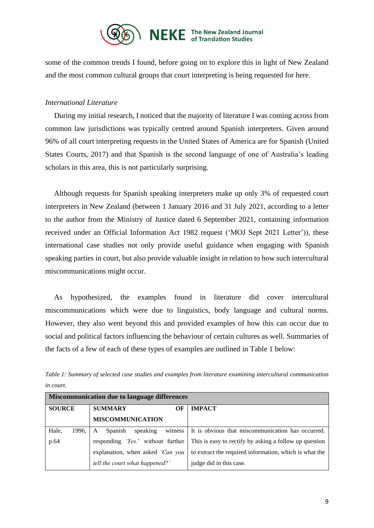

some of the common trends I found, before going on to explore this in light of New Zealand and the most common cultural groups that court interpreting is being requested for here.

## *International Literature*

During my initial research, I noticed that the majority of literature I was coming across from common law jurisdictions was typically centred around Spanish interpreters. Given around 96% of all court interpreting requests in the United States of America are for Spanish (United States Courts, 2017) and that Spanish is the second language of one of Australia's leading scholars in this area, this is not particularly surprising.

Although requests for Spanish speaking interpreters make up only 3% of requested court interpreters in New Zealand (between 1 January 2016 and 31 July 2021, according to a letter to the author from the Ministry of Justice dated 6 September 2021, containing information received under an Official Information Act 1982 request ('MOJ Sept 2021 Letter')), these international case studies not only provide useful guidance when engaging with Spanish speaking parties in court, but also provide valuable insight in relation to how such intercultural miscommunications might occur.

As hypothesized, the examples found in literature did cover intercultural miscommunications which were due to linguistics, body language and cultural norms. However, they also went beyond this and provided examples of how this can occur due to social and political factors influencing the behaviour of certain cultures as well. Summaries of the facts of a few of each of these types of examples are outlined in Table 1 below:

| <b>Miscommunication due to language differences</b> |                                     |                                                        |  |  |
|-----------------------------------------------------|-------------------------------------|--------------------------------------------------------|--|--|
| <b>SOURCE</b>                                       | <b>SUMMARY</b><br>ОF                | <b>IMPACT</b>                                          |  |  |
|                                                     | <b>MISCOMMUNICATION</b>             |                                                        |  |  |
| Hale,<br>1996.                                      | witness<br>Spanish<br>speaking<br>A | It is obvious that miscommunication has occurred.      |  |  |
| p.64                                                | responding 'Yes.' without further   | This is easy to rectify by asking a follow up question |  |  |
|                                                     | explanation, when asked 'Can you    | to extract the required information, which is what the |  |  |
|                                                     | tell the court what happened?'      | judge did in this case.                                |  |  |

*Table 1: Summary of selected case studies and examples from literature examining intercultural communication in court.*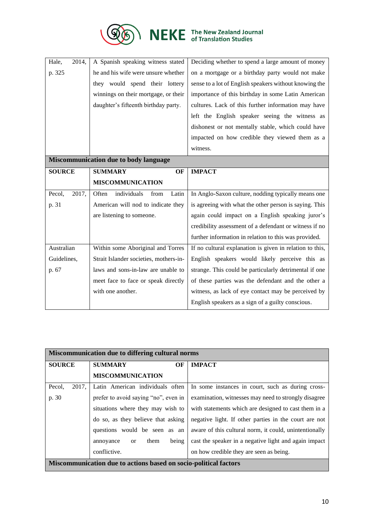

| Hale,<br>2014,                               | A Spanish speaking witness stated      | Deciding whether to spend a large amount of money        |
|----------------------------------------------|----------------------------------------|----------------------------------------------------------|
| p. 325                                       | he and his wife were unsure whether    | on a mortgage or a birthday party would not make         |
|                                              | they would spend their lottery         | sense to a lot of English speakers without knowing the   |
|                                              | winnings on their mortgage, or their   | importance of this birthday in some Latin American       |
|                                              | daughter's fifteenth birthday party.   | cultures. Lack of this further information may have      |
|                                              |                                        | left the English speaker seeing the witness as           |
|                                              |                                        | dishonest or not mentally stable, which could have       |
|                                              |                                        | impacted on how credible they viewed them as a           |
|                                              |                                        | witness.                                                 |
| <b>Miscommunication due to body language</b> |                                        |                                                          |
| <b>SOURCE</b>                                | <b>SUMMARY</b><br>OF                   | <b>IMPACT</b>                                            |
|                                              | <b>MISCOMMUNICATION</b>                |                                                          |
| 2017,<br>Pecol,                              | individuals<br>Latin<br>Often<br>from  | In Anglo-Saxon culture, nodding typically means one      |
|                                              |                                        |                                                          |
| p. 31                                        | American will nod to indicate they     | is agreeing with what the other person is saying. This   |
|                                              | are listening to someone.              | again could impact on a English speaking juror's         |
|                                              |                                        | credibility assessment of a defendant or witness if no   |
|                                              |                                        | further information in relation to this was provided.    |
| Australian                                   | Within some Aboriginal and Torres      | If no cultural explanation is given in relation to this, |
| Guidelines,                                  | Strait Islander societies, mothers-in- | English speakers would likely perceive this as           |
| p. 67                                        | laws and sons-in-law are unable to     | strange. This could be particularly detrimental if one   |
|                                              | meet face to face or speak directly    | of these parties was the defendant and the other a       |
|                                              | with one another.                      | witness, as lack of eye contact may be perceived by      |
|                                              |                                        | English speakers as a sign of a guilty conscious.        |

| Miscommunication due to differing cultural norms                 |                                             |                                                        |  |
|------------------------------------------------------------------|---------------------------------------------|--------------------------------------------------------|--|
| <b>SOURCE</b>                                                    | <b>SUMMARY</b><br>OF                        | <b>IMPACT</b>                                          |  |
|                                                                  | <b>MISCOMMUNICATION</b>                     |                                                        |  |
| Pecol,<br>2017.                                                  | Latin American individuals often            | In some instances in court, such as during cross-      |  |
| p. 30                                                            | prefer to avoid saying "no", even in        | examination, witnesses may need to strongly disagree   |  |
|                                                                  | situations where they may wish to           | with statements which are designed to cast them in a   |  |
|                                                                  | do so, as they believe that asking          | negative light. If other parties in the court are not  |  |
|                                                                  | questions would be seen as an               | aware of this cultural norm, it could, unintentionally |  |
|                                                                  | being<br>them<br>annoyance<br><sub>or</sub> | cast the speaker in a negative light and again impact  |  |
|                                                                  | conflictive.                                | on how credible they are seen as being.                |  |
| Miscommunication due to actions based on socio-political factors |                                             |                                                        |  |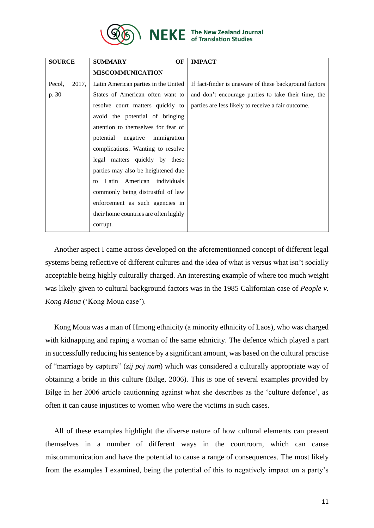

| <b>SOURCE</b> |       | <b>SUMMARY</b><br>OF                  | <b>IMPACT</b>                                         |
|---------------|-------|---------------------------------------|-------------------------------------------------------|
|               |       | <b>MISCOMMUNICATION</b>               |                                                       |
| Pecol,        | 2017, | Latin American parties in the United  | If fact-finder is unaware of these background factors |
| p. 30         |       | States of American often want to      | and don't encourage parties to take their time, the   |
|               |       | resolve court matters quickly to      | parties are less likely to receive a fair outcome.    |
|               |       | avoid the potential of bringing       |                                                       |
|               |       | attention to themselves for fear of   |                                                       |
|               |       | potential negative<br>immigration     |                                                       |
|               |       | complications. Wanting to resolve     |                                                       |
|               |       | legal matters quickly by these        |                                                       |
|               |       | parties may also be heightened due    |                                                       |
|               |       | Latin American individuals<br>to      |                                                       |
|               |       | commonly being distrustful of law     |                                                       |
|               |       | enforcement as such agencies in       |                                                       |
|               |       | their home countries are often highly |                                                       |
|               |       | corrupt.                              |                                                       |

Another aspect I came across developed on the aforementionned concept of different legal systems being reflective of different cultures and the idea of what is versus what isn't socially acceptable being highly culturally charged. An interesting example of where too much weight was likely given to cultural background factors was in the 1985 Californian case of *People v. Kong Moua* ('Kong Moua case').

Kong Moua was a man of Hmong ethnicity (a minority ethnicity of Laos), who was charged with kidnapping and raping a woman of the same ethnicity. The defence which played a part in successfully reducing his sentence by a significant amount, was based on the cultural practise of "marriage by capture" (*zij poj nam*) which was considered a culturally appropriate way of obtaining a bride in this culture (Bilge, 2006). This is one of several examples provided by Bilge in her 2006 article cautionning against what she describes as the 'culture defence', as often it can cause injustices to women who were the victims in such cases.

All of these examples highlight the diverse nature of how cultural elements can present themselves in a number of different ways in the courtroom, which can cause miscommunication and have the potential to cause a range of consequences. The most likely from the examples I examined, being the potential of this to negatively impact on a party's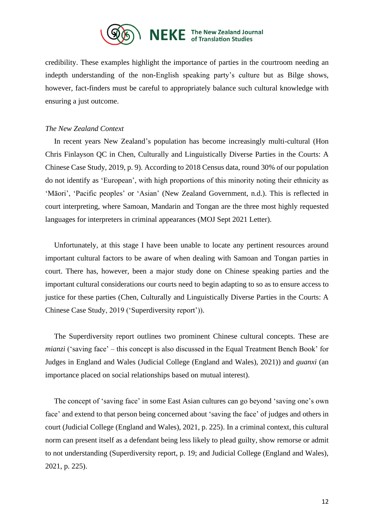

credibility. These examples highlight the importance of parties in the courtroom needing an indepth understanding of the non-English speaking party's culture but as Bilge shows, however, fact-finders must be careful to appropriately balance such cultural knowledge with ensuring a just outcome.

#### *The New Zealand Context*

In recent years New Zealand's population has become increasingly multi-cultural (Hon Chris Finlayson QC in Chen, Culturally and Linguistically Diverse Parties in the Courts: A Chinese Case Study, 2019, p. 9). According to 2018 Census data, round 30% of our population do not identify as 'European', with high proportions of this minority noting their ethnicity as 'Māori', 'Pacific peoples' or 'Asian' (New Zealand Government, n.d.). This is reflected in court interpreting, where Samoan, Mandarin and Tongan are the three most highly requested languages for interpreters in criminal appearances (MOJ Sept 2021 Letter).

Unfortunately, at this stage I have been unable to locate any pertinent resources around important cultural factors to be aware of when dealing with Samoan and Tongan parties in court. There has, however, been a major study done on Chinese speaking parties and the important cultural considerations our courts need to begin adapting to so as to ensure access to justice for these parties (Chen, Culturally and Linguistically Diverse Parties in the Courts: A Chinese Case Study, 2019 ('Superdiversity report')).

The Superdiversity report outlines two prominent Chinese cultural concepts. These are *mianzi* ('saving face' – this concept is also discussed in the Equal Treatment Bench Book' for Judges in England and Wales (Judicial College (England and Wales), 2021)) and *guanxi* (an importance placed on social relationships based on mutual interest).

The concept of 'saving face' in some East Asian cultures can go beyond 'saving one's own face' and extend to that person being concerned about 'saving the face' of judges and others in court (Judicial College (England and Wales), 2021, p. 225). In a criminal context, this cultural norm can present itself as a defendant being less likely to plead guilty, show remorse or admit to not understanding (Superdiversity report, p. 19; and Judicial College (England and Wales), 2021, p. 225).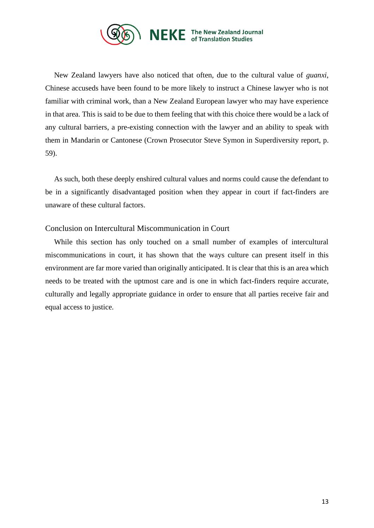

New Zealand lawyers have also noticed that often, due to the cultural value of *guanxi*, Chinese accuseds have been found to be more likely to instruct a Chinese lawyer who is not familiar with criminal work, than a New Zealand European lawyer who may have experience in that area. This is said to be due to them feeling that with this choice there would be a lack of any cultural barriers, a pre-existing connection with the lawyer and an ability to speak with them in Mandarin or Cantonese (Crown Prosecutor Steve Symon in Superdiversity report, p. 59).

As such, both these deeply enshired cultural values and norms could cause the defendant to be in a significantly disadvantaged position when they appear in court if fact-finders are unaware of these cultural factors.

## <span id="page-13-0"></span>Conclusion on Intercultural Miscommunication in Court

While this section has only touched on a small number of examples of intercultural miscommunications in court, it has shown that the ways culture can present itself in this environment are far more varied than originally anticipated. It is clear that this is an area which needs to be treated with the uptmost care and is one in which fact-finders require accurate, culturally and legally appropriate guidance in order to ensure that all parties receive fair and equal access to justice.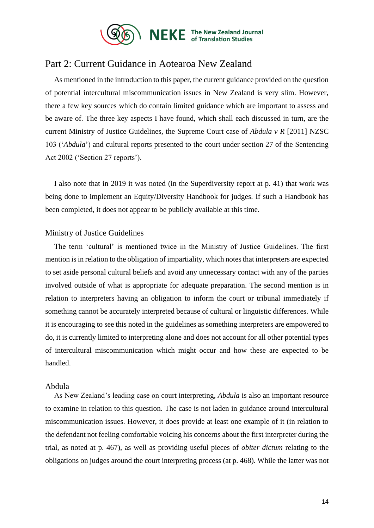

# <span id="page-14-0"></span>Part 2: Current Guidance in Aotearoa New Zealand

As mentioned in the introduction to this paper, the current guidance provided on the question of potential intercultural miscommunication issues in New Zealand is very slim. However, there a few key sources which do contain limited guidance which are important to assess and be aware of. The three key aspects I have found, which shall each discussed in turn, are the current Ministry of Justice Guidelines, the Supreme Court case of *Abdula v R* [2011] NZSC 103 ('*Abdula*') and cultural reports presented to the court under section 27 of the Sentencing Act 2002 ('Section 27 reports').

I also note that in 2019 it was noted (in the Superdiversity report at p. 41) that work was being done to implement an Equity/Diversity Handbook for judges. If such a Handbook has been completed, it does not appear to be publicly available at this time.

## <span id="page-14-1"></span>Ministry of Justice Guidelines

The term 'cultural' is mentioned twice in the Ministry of Justice Guidelines. The first mention is in relation to the obligation of impartiality, which notes that interpreters are expected to set aside personal cultural beliefs and avoid any unnecessary contact with any of the parties involved outside of what is appropriate for adequate preparation. The second mention is in relation to interpreters having an obligation to inform the court or tribunal immediately if something cannot be accurately interpreted because of cultural or linguistic differences. While it is encouraging to see this noted in the guidelines as something interpreters are empowered to do, it is currently limited to interpreting alone and does not account for all other potential types of intercultural miscommunication which might occur and how these are expected to be handled.

### <span id="page-14-2"></span>Abdula

As New Zealand's leading case on court interpreting, *Abdula* is also an important resource to examine in relation to this question. The case is not laden in guidance around intercultural miscommunication issues. However, it does provide at least one example of it (in relation to the defendant not feeling comfortable voicing his concerns about the first interpreter during the trial, as noted at p. 467), as well as providing useful pieces of *obiter dictum* relating to the obligations on judges around the court interpreting process (at p. 468). While the latter was not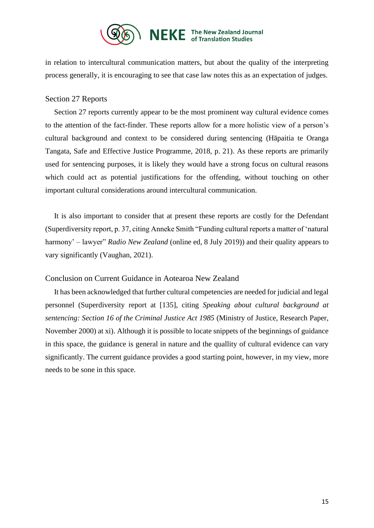

in relation to intercultural communication matters, but about the quality of the interpreting process generally, it is encouraging to see that case law notes this as an expectation of judges.

## <span id="page-15-0"></span>Section 27 Reports

Section 27 reports currently appear to be the most prominent way cultural evidence comes to the attention of the fact-finder. These reports allow for a more holistic view of a person's cultural background and context to be considered during sentencing (Hāpaitia te Oranga Tangata, Safe and Effective Justice Programme, 2018, p. 21). As these reports are primarily used for sentencing purposes, it is likely they would have a strong focus on cultural reasons which could act as potential justifications for the offending, without touching on other important cultural considerations around intercultural communication.

It is also important to consider that at present these reports are costly for the Defendant (Superdiversity report, p. 37, citing Anneke Smith "Funding cultural reports a matter of 'natural harmony' – lawyer" *Radio New Zealand* (online ed, 8 July 2019)) and their quality appears to vary significantly (Vaughan, 2021).

### <span id="page-15-1"></span>Conclusion on Current Guidance in Aotearoa New Zealand

It has been acknowledged that further cultural competencies are needed for judicial and legal personnel (Superdiversity report at [135], citing *Speaking about cultural background at sentencing: Section 16 of the Criminal Justice Act 1985* (Ministry of Justice, Research Paper, November 2000) at xi). Although it is possible to locate snippets of the beginnings of guidance in this space, the guidance is general in nature and the quallity of cultural evidence can vary significantly. The current guidance provides a good starting point, however, in my view, more needs to be sone in this space.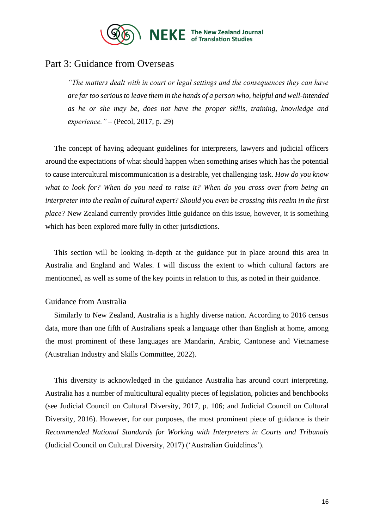

# <span id="page-16-0"></span>Part 3: Guidance from Overseas

*"The matters dealt with in court or legal settings and the consequences they can have are far too serious to leave them in the hands of a person who, helpful and well-intended as he or she may be, does not have the proper skills, training, knowledge and experience."* – (Pecol, 2017, p. 29)

The concept of having adequant guidelines for interpreters, lawyers and judicial officers around the expectations of what should happen when something arises which has the potential to cause intercultural miscommunication is a desirable, yet challenging task. *How do you know what to look for? When do you need to raise it? When do you cross over from being an interpreter into the realm of cultural expert? Should you even be crossing this realm in the first place?* New Zealand currently provides little guidance on this issue, however, it is something which has been explored more fully in other jurisdictions.

This section will be looking in-depth at the guidance put in place around this area in Australia and England and Wales. I will discuss the extent to which cultural factors are mentionned, as well as some of the key points in relation to this, as noted in their guidance.

### <span id="page-16-1"></span>Guidance from Australia

Similarly to New Zealand, Australia is a highly diverse nation. According to 2016 census data, more than one fifth of Australians speak a language other than English at home, among the most prominent of these languages are Mandarin, Arabic, Cantonese and Vietnamese (Australian Industry and Skills Committee, 2022).

This diversity is acknowledged in the guidance Australia has around court interpreting. Australia has a number of multicultural equality pieces of legislation, policies and benchbooks (see Judicial Council on Cultural Diversity, 2017, p. 106; and Judicial Council on Cultural Diversity, 2016). However, for our purposes, the most prominent piece of guidance is their *Recommended National Standards for Working with Interpreters in Courts and Tribunals*  (Judicial Council on Cultural Diversity, 2017) ('Australian Guidelines')*.*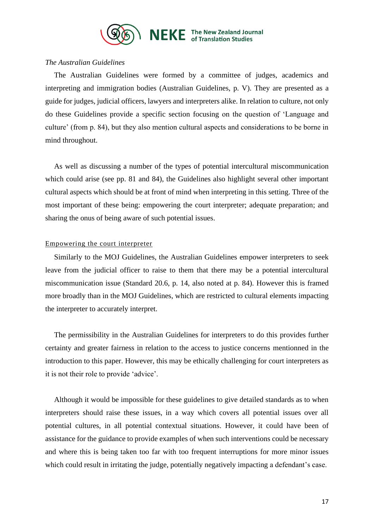

### *The Australian Guidelines*

The Australian Guidelines were formed by a committee of judges, academics and interpreting and immigration bodies (Australian Guidelines, p. V). They are presented as a guide for judges, judicial officers, lawyers and interpreters alike. In relation to culture, not only do these Guidelines provide a specific section focusing on the question of 'Language and culture' (from p. 84), but they also mention cultural aspects and considerations to be borne in mind throughout.

As well as discussing a number of the types of potential intercultural miscommunication which could arise (see pp. 81 and 84), the Guidelines also highlight several other important cultural aspects which should be at front of mind when interpreting in this setting. Three of the most important of these being: empowering the court interpreter; adequate preparation; and sharing the onus of being aware of such potential issues.

#### Empowering the court interpreter

Similarly to the MOJ Guidelines, the Australian Guidelines empower interpreters to seek leave from the judicial officer to raise to them that there may be a potential intercultural miscommunication issue (Standard 20.6, p. 14, also noted at p. 84). However this is framed more broadly than in the MOJ Guidelines, which are restricted to cultural elements impacting the interpreter to accurately interpret.

The permissibility in the Australian Guidelines for interpreters to do this provides further certainty and greater fairness in relation to the access to justice concerns mentionned in the introduction to this paper. However, this may be ethically challenging for court interpreters as it is not their role to provide 'advice'.

Although it would be impossible for these guidelines to give detailed standards as to when interpreters should raise these issues, in a way which covers all potential issues over all potential cultures, in all potential contextual situations. However, it could have been of assistance for the guidance to provide examples of when such interventions could be necessary and where this is being taken too far with too frequent interruptions for more minor issues which could result in irritating the judge, potentially negatively impacting a defendant's case.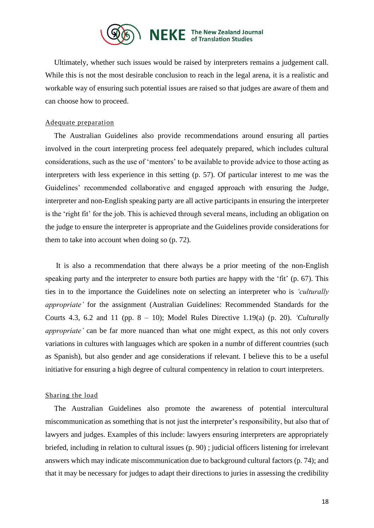

Ultimately, whether such issues would be raised by interpreters remains a judgement call. While this is not the most desirable conclusion to reach in the legal arena, it is a realistic and workable way of ensuring such potential issues are raised so that judges are aware of them and can choose how to proceed.

#### Adequate preparation

The Australian Guidelines also provide recommendations around ensuring all parties involved in the court interpreting process feel adequately prepared, which includes cultural considerations, such as the use of 'mentors' to be available to provide advice to those acting as interpreters with less experience in this setting (p. 57). Of particular interest to me was the Guidelines' recommended collaborative and engaged approach with ensuring the Judge, interpreter and non-English speaking party are all active participants in ensuring the interpreter is the 'right fit' for the job. This is achieved through several means, including an obligation on the judge to ensure the interpreter is appropriate and the Guidelines provide considerations for them to take into account when doing so (p. 72).

It is also a recommendation that there always be a prior meeting of the non-English speaking party and the interpreter to ensure both parties are happy with the 'fit' (p. 67). This ties in to the importance the Guidelines note on selecting an interpreter who is *'culturally appropriate'* for the assignment (Australian Guidelines: Recommended Standards for the Courts 4.3, 6.2 and 11 (pp. 8 – 10); Model Rules Directive 1.19(a) (p. 20). *'Culturally appropriate'* can be far more nuanced than what one might expect, as this not only covers variations in cultures with languages which are spoken in a numbr of different countries (such as Spanish), but also gender and age considerations if relevant. I believe this to be a useful initiative for ensuring a high degree of cultural compentency in relation to court interpreters.

#### Sharing the load

The Australian Guidelines also promote the awareness of potential intercultural miscommunication as something that is not just the interpreter's responsibility, but also that of lawyers and judges. Examples of this include: lawyers ensuring interpreters are appropriately briefed, including in relation to cultural issues (p. 90) ; judicial officers listening for irrelevant answers which may indicate miscommunication due to background cultural factors (p. 74); and that it may be necessary for judges to adapt their directions to juries in assessing the credibility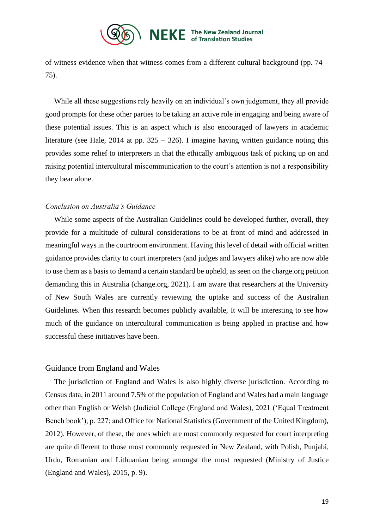

of witness evidence when that witness comes from a different cultural background (pp. 74 – 75).

While all these suggestions rely heavily on an individual's own judgement, they all provide good prompts for these other parties to be taking an active role in engaging and being aware of these potential issues. This is an aspect which is also encouraged of lawyers in academic literature (see Hale, 2014 at pp. 325 – 326). I imagine having written guidance noting this provides some relief to interpreters in that the ethically ambiguous task of picking up on and raising potential intercultural miscommunication to the court's attention is not a responsibility they bear alone.

#### *Conclusion on Australia's Guidance*

While some aspects of the Australian Guidelines could be developed further, overall, they provide for a multitude of cultural considerations to be at front of mind and addressed in meaningful ways in the courtroom environment. Having this level of detail with official written guidance provides clarity to court interpreters (and judges and lawyers alike) who are now able to use them as a basis to demand a certain standard be upheld, as seen on the charge.org petition demanding this in Australia (change.org, 2021). I am aware that researchers at the University of New South Wales are currently reviewing the uptake and success of the Australian Guidelines. When this research becomes publicly available, It will be interesting to see how much of the guidance on intercultural communication is being applied in practise and how successful these initiatives have been.

#### <span id="page-19-0"></span>Guidance from England and Wales

The jurisdiction of England and Wales is also highly diverse jurisdiction. According to Census data, in 2011 around 7.5% of the population of England and Wales had a main language other than English or Welsh (Judicial College (England and Wales), 2021 ('Equal Treatment Bench book'), p. 227; and Office for National Statistics (Government of the United Kingdom), 2012). However, of these, the ones which are most commonly requested for court interpreting are quite different to those most commonly requested in New Zealand, with Polish, Punjabi, Urdu, Romanian and Lithuanian being amongst the most requested (Ministry of Justice (England and Wales), 2015, p. 9).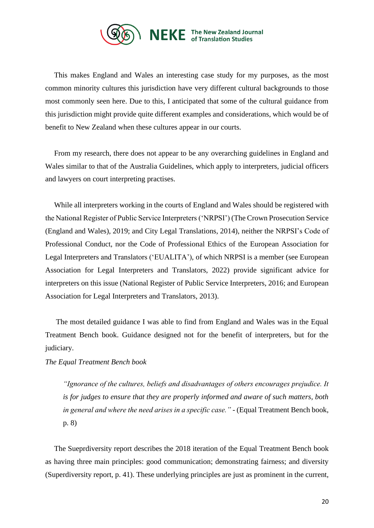

This makes England and Wales an interesting case study for my purposes, as the most common minority cultures this jurisdiction have very different cultural backgrounds to those most commonly seen here. Due to this, I anticipated that some of the cultural guidance from this jurisdiction might provide quite different examples and considerations, which would be of benefit to New Zealand when these cultures appear in our courts.

From my research, there does not appear to be any overarching guidelines in England and Wales similar to that of the Australia Guidelines, which apply to interpreters, judicial officers and lawyers on court interpreting practises.

While all interpreters working in the courts of England and Wales should be registered with the National Register of Public Service Interpreters ('NRPSI') (The Crown Prosecution Service (England and Wales), 2019; and City Legal Translations, 2014), neither the NRPSI's Code of Professional Conduct, nor the Code of Professional Ethics of the European Association for Legal Interpreters and Translators ('EUALITA'), of which NRPSI is a member (see European Association for Legal Interpreters and Translators, 2022) provide significant advice for interpreters on this issue (National Register of Public Service Interpreters, 2016; and European Association for Legal Interpreters and Translators, 2013).

The most detailed guidance I was able to find from England and Wales was in the Equal Treatment Bench book. Guidance designed not for the benefit of interpreters, but for the judiciary.

*The Equal Treatment Bench book* 

*"Ignorance of the cultures, beliefs and disadvantages of others encourages prejudice. It is for judges to ensure that they are properly informed and aware of such matters, both in general and where the need arises in a specific case."* - (Equal Treatment Bench book, p. 8)

The Sueprdiversity report describes the 2018 iteration of the Equal Treatment Bench book as having three main principles: good communication; demonstrating fairness; and diversity (Superdiversity report, p. 41). These underlying principles are just as prominent in the current,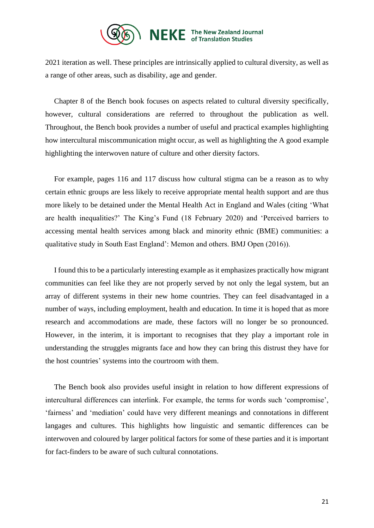

2021 iteration as well. These principles are intrinsically applied to cultural diversity, as well as a range of other areas, such as disability, age and gender.

Chapter 8 of the Bench book focuses on aspects related to cultural diversity specifically, however, cultural considerations are referred to throughout the publication as well. Throughout, the Bench book provides a number of useful and practical examples highlighting how intercultural miscommunication might occur, as well as highlighting the A good example highlighting the interwoven nature of culture and other diersity factors.

For example, pages 116 and 117 discuss how cultural stigma can be a reason as to why certain ethnic groups are less likely to receive appropriate mental health support and are thus more likely to be detained under the Mental Health Act in England and Wales (citing 'What are health inequalities?' The King's Fund (18 February 2020) and 'Perceived barriers to accessing mental health services among black and minority ethnic (BME) communities: a qualitative study in South East England': Memon and others. BMJ Open (2016)).

I found this to be a particularly interesting example as it emphasizes practically how migrant communities can feel like they are not properly served by not only the legal system, but an array of different systems in their new home countries. They can feel disadvantaged in a number of ways, including employment, health and education. In time it is hoped that as more research and accommodations are made, these factors will no longer be so pronounced. However, in the interim, it is important to recognises that they play a important role in understanding the struggles migrants face and how they can bring this distrust they have for the host countries' systems into the courtroom with them.

The Bench book also provides useful insight in relation to how different expressions of intercultural differences can interlink. For example, the terms for words such 'compromise', 'fairness' and 'mediation' could have very different meanings and connotations in different langages and cultures. This highlights how linguistic and semantic differences can be interwoven and coloured by larger political factors for some of these parties and it is important for fact-finders to be aware of such cultural connotations.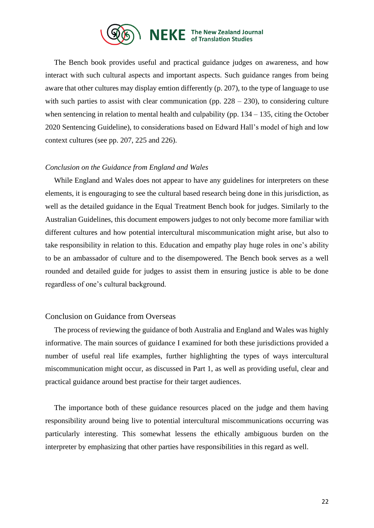

The Bench book provides useful and practical guidance judges on awareness, and how interact with such cultural aspects and important aspects. Such guidance ranges from being aware that other cultures may display emtion differently (p. 207), to the type of language to use with such parties to assist with clear communication (pp.  $228 - 230$ ), to considering culture when sentencing in relation to mental health and culpability (pp.  $134 - 135$ , citing the October 2020 Sentencing Guideline), to considerations based on Edward Hall's model of high and low context cultures (see pp. 207, 225 and 226).

#### *Conclusion on the Guidance from England and Wales*

While England and Wales does not appear to have any guidelines for interpreters on these elements, it is engouraging to see the cultural based research being done in this jurisdiction, as well as the detailed guidance in the Equal Treatment Bench book for judges. Similarly to the Australian Guidelines, this document empowers judges to not only become more familiar with different cultures and how potential intercultural miscommunication might arise, but also to take responsibility in relation to this. Education and empathy play huge roles in one's ability to be an ambassador of culture and to the disempowered. The Bench book serves as a well rounded and detailed guide for judges to assist them in ensuring justice is able to be done regardless of one's cultural background.

### <span id="page-22-0"></span>Conclusion on Guidance from Overseas

The process of reviewing the guidance of both Australia and England and Wales was highly informative. The main sources of guidance I examined for both these jurisdictions provided a number of useful real life examples, further highlighting the types of ways intercultural miscommunication might occur, as discussed in Part 1, as well as providing useful, clear and practical guidance around best practise for their target audiences.

The importance both of these guidance resources placed on the judge and them having responsibility around being live to potential intercultural miscommunications occurring was particularly interesting. This somewhat lessens the ethically ambiguous burden on the interpreter by emphasizing that other parties have responsibilities in this regard as well.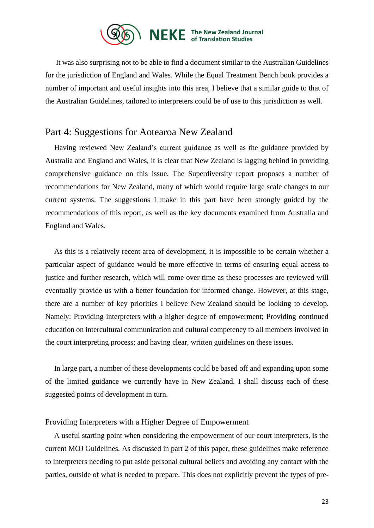

It was also surprising not to be able to find a document similar to the Australian Guidelines for the jurisdiction of England and Wales. While the Equal Treatment Bench book provides a number of important and useful insights into this area, I believe that a similar guide to that of the Australian Guidelines, tailored to interpreters could be of use to this jurisdiction as well.

# <span id="page-23-0"></span>Part 4: Suggestions for Aotearoa New Zealand

Having reviewed New Zealand's current guidance as well as the guidance provided by Australia and England and Wales, it is clear that New Zealand is lagging behind in providing comprehensive guidance on this issue. The Superdiversity report proposes a number of recommendations for New Zealand, many of which would require large scale changes to our current systems. The suggestions I make in this part have been strongly guided by the recommendations of this report, as well as the key documents examined from Australia and England and Wales.

As this is a relatively recent area of development, it is impossible to be certain whether a particular aspect of guidance would be more effective in terms of ensuring equal access to justice and further research, which will come over time as these processes are reviewed will eventually provide us with a better foundation for informed change. However, at this stage, there are a number of key priorities I believe New Zealand should be looking to develop. Namely: Providing interpreters with a higher degree of empowerment; Providing continued education on intercultural communication and cultural competency to all members involved in the court interpreting process; and having clear, written guidelines on these issues.

In large part, a number of these developments could be based off and expanding upon some of the limited guidance we currently have in New Zealand. I shall discuss each of these suggested points of development in turn.

#### <span id="page-23-1"></span>Providing Interpreters with a Higher Degree of Empowerment

A useful starting point when considering the empowerment of our court interpreters, is the current MOJ Guidelines. As discussed in part 2 of this paper, these guidelines make reference to interpreters needing to put aside personal cultural beliefs and avoiding any contact with the parties, outside of what is needed to prepare. This does not explicitly prevent the types of pre-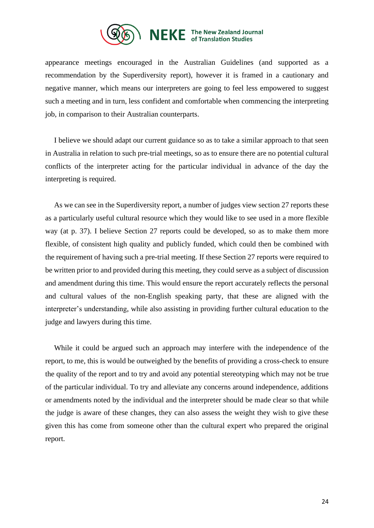

appearance meetings encouraged in the Australian Guidelines (and supported as a recommendation by the Superdiversity report), however it is framed in a cautionary and negative manner, which means our interpreters are going to feel less empowered to suggest such a meeting and in turn, less confident and comfortable when commencing the interpreting job, in comparison to their Australian counterparts.

I believe we should adapt our current guidance so as to take a similar approach to that seen in Australia in relation to such pre-trial meetings, so as to ensure there are no potential cultural conflicts of the interpreter acting for the particular individual in advance of the day the interpreting is required.

As we can see in the Superdiversity report, a number of judges view section 27 reports these as a particularly useful cultural resource which they would like to see used in a more flexible way (at p. 37). I believe Section 27 reports could be developed, so as to make them more flexible, of consistent high quality and publicly funded, which could then be combined with the requirement of having such a pre-trial meeting. If these Section 27 reports were required to be written prior to and provided during this meeting, they could serve as a subject of discussion and amendment during this time. This would ensure the report accurately reflects the personal and cultural values of the non-English speaking party, that these are aligned with the interpreter's understanding, while also assisting in providing further cultural education to the judge and lawyers during this time.

While it could be argued such an approach may interfere with the independence of the report, to me, this is would be outweighed by the benefits of providing a cross-check to ensure the quality of the report and to try and avoid any potential stereotyping which may not be true of the particular individual. To try and alleviate any concerns around independence, additions or amendments noted by the individual and the interpreter should be made clear so that while the judge is aware of these changes, they can also assess the weight they wish to give these given this has come from someone other than the cultural expert who prepared the original report.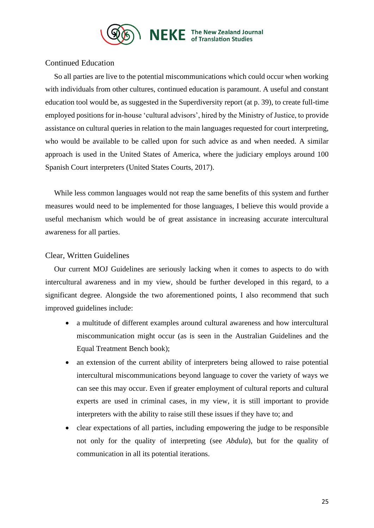

# <span id="page-25-0"></span>Continued Education

So all parties are live to the potential miscommunications which could occur when working with individuals from other cultures, continued education is paramount. A useful and constant education tool would be, as suggested in the Superdiversity report (at p. 39), to create full-time employed positions for in-house 'cultural advisors', hired by the Ministry of Justice, to provide assistance on cultural queries in relation to the main languages requested for court interpreting, who would be available to be called upon for such advice as and when needed. A similar approach is used in the United States of America, where the judiciary employs around 100 Spanish Court interpreters (United States Courts, 2017).

While less common languages would not reap the same benefits of this system and further measures would need to be implemented for those languages, I believe this would provide a useful mechanism which would be of great assistance in increasing accurate intercultural awareness for all parties.

# <span id="page-25-1"></span>Clear, Written Guidelines

Our current MOJ Guidelines are seriously lacking when it comes to aspects to do with intercultural awareness and in my view, should be further developed in this regard, to a significant degree. Alongside the two aforementioned points, I also recommend that such improved guidelines include:

- a multitude of different examples around cultural awareness and how intercultural miscommunication might occur (as is seen in the Australian Guidelines and the Equal Treatment Bench book);
- an extension of the current ability of interpreters being allowed to raise potential intercultural miscommunications beyond language to cover the variety of ways we can see this may occur. Even if greater employment of cultural reports and cultural experts are used in criminal cases, in my view, it is still important to provide interpreters with the ability to raise still these issues if they have to; and
- clear expectations of all parties, including empowering the judge to be responsible not only for the quality of interpreting (see *Abdula*), but for the quality of communication in all its potential iterations.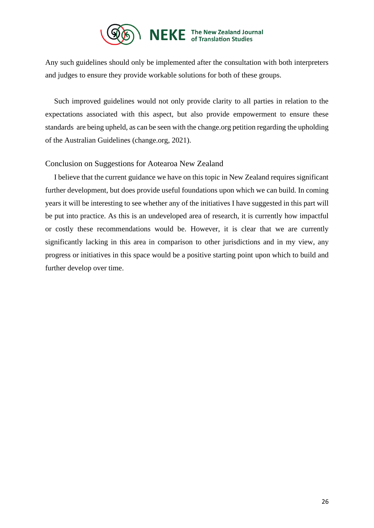

Any such guidelines should only be implemented after the consultation with both interpreters and judges to ensure they provide workable solutions for both of these groups.

Such improved guidelines would not only provide clarity to all parties in relation to the expectations associated with this aspect, but also provide empowerment to ensure these standards are being upheld, as can be seen with the change.org petition regarding the upholding of the Australian Guidelines (change.org, 2021).

## <span id="page-26-0"></span>Conclusion on Suggestions for Aotearoa New Zealand

I believe that the current guidance we have on this topic in New Zealand requires significant further development, but does provide useful foundations upon which we can build. In coming years it will be interesting to see whether any of the initiatives I have suggested in this part will be put into practice. As this is an undeveloped area of research, it is currently how impactful or costly these recommendations would be. However, it is clear that we are currently significantly lacking in this area in comparison to other jurisdictions and in my view, any progress or initiatives in this space would be a positive starting point upon which to build and further develop over time.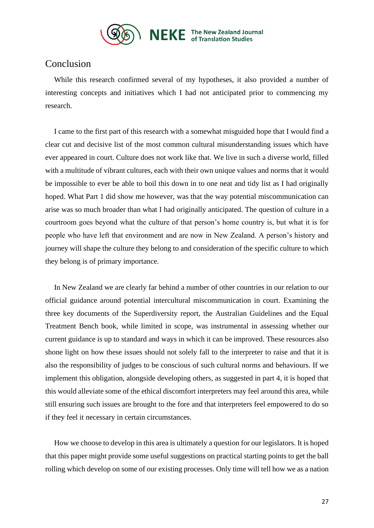

# <span id="page-27-0"></span>Conclusion

While this research confirmed several of my hypotheses, it also provided a number of interesting concepts and initiatives which I had not anticipated prior to commencing my research.

I came to the first part of this research with a somewhat misguided hope that I would find a clear cut and decisive list of the most common cultural misunderstanding issues which have ever appeared in court. Culture does not work like that. We live in such a diverse world, filled with a multitude of vibrant cultures, each with their own unique values and norms that it would be impossible to ever be able to boil this down in to one neat and tidy list as I had originally hoped. What Part 1 did show me however, was that the way potential miscommunication can arise was so much broader than what I had originally anticipated. The question of culture in a courtroom goes beyond what the culture of that person's home country is, but what it is for people who have left that environment and are now in New Zealand. A person's history and journey will shape the culture they belong to and consideration of the specific culture to which they belong is of primary importance.

In New Zealand we are clearly far behind a number of other countries in our relation to our official guidance around potential intercultural miscommunication in court. Examining the three key documents of the Superdiversity report, the Australian Guidelines and the Equal Treatment Bench book, while limited in scope, was instrumental in assessing whether our current guidance is up to standard and ways in which it can be improved. These resources also shone light on how these issues should not solely fall to the interpreter to raise and that it is also the responsibility of judges to be conscious of such cultural norms and behaviours. If we implement this obligation, alongside developing others, as suggested in part 4, it is hoped that this would alleviate some of the ethical discomfort interpreters may feel around this area, while still ensuring such issues are brought to the fore and that interpreters feel empowered to do so if they feel it necessary in certain circumstances.

How we choose to develop in this area is ultimately a question for our legislators. It is hoped that this paper might provide some useful suggestions on practical starting points to get the ball rolling which develop on some of our existing processes. Only time will tell how we as a nation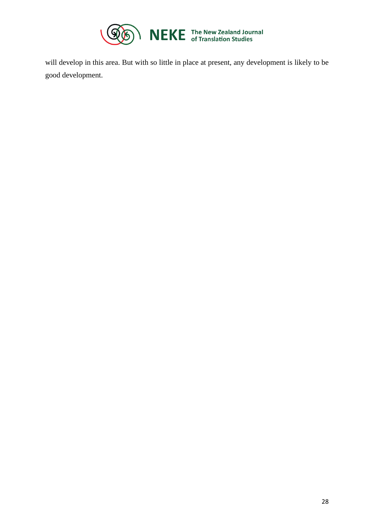

will develop in this area. But with so little in place at present, any development is likely to be good development.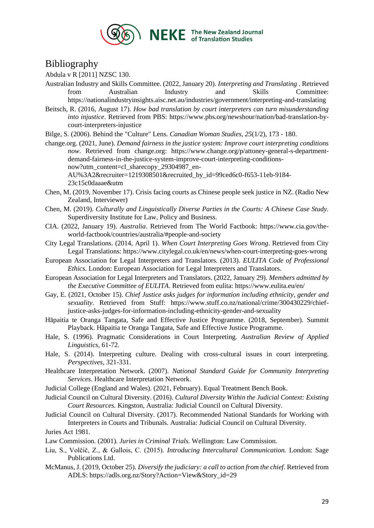

# <span id="page-29-0"></span>Bibliography

Abdula v R [2011] NZSC 130.

- Australian Industry and Skills Committee. (2022, January 20). *Interpreting and Translating* . Retrieved from Australian Industry and Skills Committee: https://nationalindustryinsights.aisc.net.au/industries/government/interpreting-and-translating
- Beitsch, R. (2016, August 17). *How bad translation by court interpreters can turn misunderstanding into injustice*. Retrieved from PBS: https://www.pbs.org/newshour/nation/bad-translation-bycourt-interpreters-injustice

Bilge, S. (2006). Behind the "Culture" Lens. *Canadian Woman Studies, 25*(1/2), 173 - 180.

change.org. (2021, June). *Demand fairness in the justice system: Improve court interpreting conditions now*. Retrieved from change.org: https://www.change.org/p/attoney-general-s-departmentdemand-fairness-in-the-justice-system-improve-court-interpreting-conditionsnow?utm\_content=cl\_sharecopy\_29304987\_en-AU%3A2&recruiter=1219308501&recruited\_by\_id=99ced6c0-f653-11eb-9184- 23c15c0daaae&utm

- Chen, M. (2019, November 17). Crisis facing courts as Chinese people seek justice in NZ. (Radio New Zealand, Interviewer)
- Chen, M. (2019). *Culturally and Linguistically Diverse Parties in the Courts: A Chinese Case Study.* Superdiversity Institute for Law, Policy and Business.
- CIA. (2022, January 19). *Australia*. Retrieved from The World Factbook: https://www.cia.gov/theworld-factbook/countries/australia/#people-and-society
- City Legal Translations. (2014, April 1). *When Court Interpreting Goes Wrong*. Retrieved from City Legal Translations: https://www.citylegal.co.uk/en/news/when-court-interpreting-goes-wrong
- European Association for Legal Interpreters and Translators. (2013). *EULITA Code of Professional Ethics.* London: European Association for Legal Interpreters and Translators.
- European Association for Legal Interpreters and Translators. (2022, January 29). *Members admitted by the Executive Committee of EULITA*. Retrieved from eulita: https://www.eulita.eu/en/
- Gay, E. (2021, October 15). *Chief Justice asks judges for information including ethnicity, gender and sexuality*. Retrieved from Stuff: https://www.stuff.co.nz/national/crime/300430229/chiefjustice-asks-judges-for-information-including-ethnicity-gender-and-sexuality

Hāpaitia te Oranga Tangata, Safe and Effective Justice Programme. (2018, September). Summit Playback. Hāpaitia te Oranga Tangata, Safe and Effective Justice Programme.

- Hale, S. (1996). Pragmatic Considerations in Court Interpreting. *Australian Review of Applied Linguistics*, 61-72.
- Hale, S. (2014). Interpreting culture. Dealing with cross-cultural issues in court interpreting. *Perspectives*, 321-331.
- Healthcare Interpretation Network. (2007). *National Standard Guide for Community Interpreting Services.* Healthcare Interpretation Network.
- Judicial College (England and Wales). (2021, February). Equal Treatment Bench Book.
- Judicial Council on Cultural Diversity. (2016). *Cultural Diversity Within the Judicial Context: Existing Court Resources.* Kingston, Australia: Judicial Council on Cultural Diversity.
- Judicial Council on Cultural Diversity. (2017). Recommended National Standards for Working with Interpreters in Courts and Tribunals. Australia: Judicial Council on Cultural Diversity.
- Juries Act 1981.
- Law Commission. (2001). *Juries in Criminal Trials.* Wellington: Law Commission.
- Liu, S., Volčič, Z., & Gallois, C. (2015). *Introducing Intercultural Communication.* London: Sage Publications Ltd.
- McManus, J. (2019, October 25). *Diversify the judiciary: a call to action from the chief*. Retrieved from ADLS: https://adls.org.nz/Story?Action=View&Story\_id=29